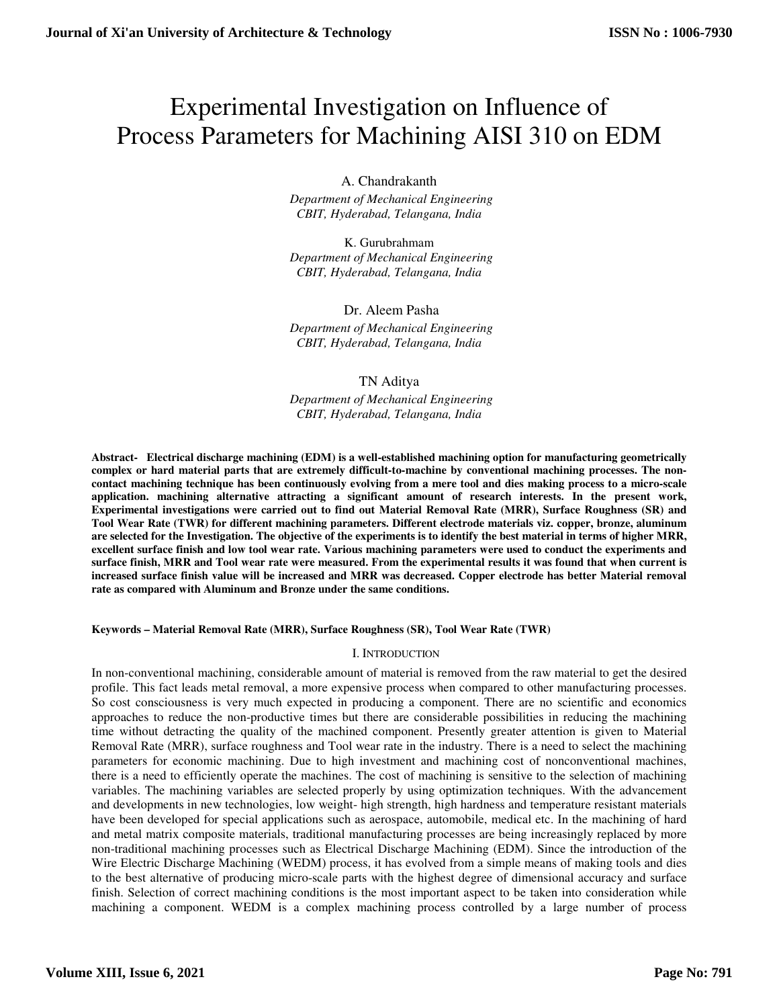# Experimental Investigation on Influence of Process Parameters for Machining AISI 310 on EDM

A. Chandrakanth

 *Department of Mechanical Engineering CBIT, Hyderabad, Telangana, India* 

K. Gurubrahmam  *Department of Mechanical Engineering CBIT, Hyderabad, Telangana, India* 

Dr. Aleem Pasha

 *Department of Mechanical Engineering CBIT, Hyderabad, Telangana, India* 

# TN Aditya

 *Department of Mechanical Engineering CBIT, Hyderabad, Telangana, India* 

**Abstract- Electrical discharge machining (EDM) is a well-established machining option for manufacturing geometrically complex or hard material parts that are extremely difficult-to-machine by conventional machining processes. The noncontact machining technique has been continuously evolving from a mere tool and dies making process to a micro-scale application. machining alternative attracting a significant amount of research interests. In the present work, Experimental investigations were carried out to find out Material Removal Rate (MRR), Surface Roughness (SR) and Tool Wear Rate (TWR) for different machining parameters. Different electrode materials viz. copper, bronze, aluminum are selected for the Investigation. The objective of the experiments is to identify the best material in terms of higher MRR, excellent surface finish and low tool wear rate. Various machining parameters were used to conduct the experiments and surface finish, MRR and Tool wear rate were measured. From the experimental results it was found that when current is increased surface finish value will be increased and MRR was decreased. Copper electrode has better Material removal rate as compared with Aluminum and Bronze under the same conditions.** 

**Keywords – Material Removal Rate (MRR), Surface Roughness (SR), Tool Wear Rate (TWR)** 

## I. INTRODUCTION

In non-conventional machining, considerable amount of material is removed from the raw material to get the desired profile. This fact leads metal removal, a more expensive process when compared to other manufacturing processes. So cost consciousness is very much expected in producing a component. There are no scientific and economics approaches to reduce the non-productive times but there are considerable possibilities in reducing the machining time without detracting the quality of the machined component. Presently greater attention is given to Material Removal Rate (MRR), surface roughness and Tool wear rate in the industry. There is a need to select the machining parameters for economic machining. Due to high investment and machining cost of nonconventional machines, there is a need to efficiently operate the machines. The cost of machining is sensitive to the selection of machining variables. The machining variables are selected properly by using optimization techniques. With the advancement and developments in new technologies, low weight- high strength, high hardness and temperature resistant materials have been developed for special applications such as aerospace, automobile, medical etc. In the machining of hard and metal matrix composite materials, traditional manufacturing processes are being increasingly replaced by more non-traditional machining processes such as Electrical Discharge Machining (EDM). Since the introduction of the Wire Electric Discharge Machining (WEDM) process, it has evolved from a simple means of making tools and dies to the best alternative of producing micro-scale parts with the highest degree of dimensional accuracy and surface finish. Selection of correct machining conditions is the most important aspect to be taken into consideration while machining a component. WEDM is a complex machining process controlled by a large number of process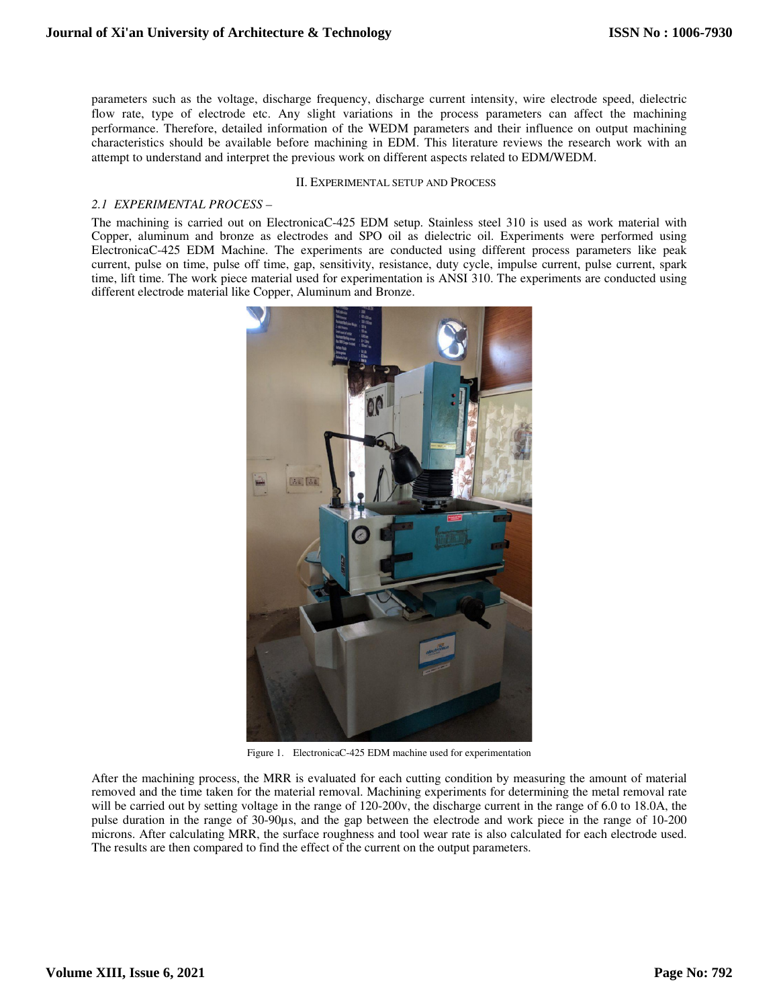parameters such as the voltage, discharge frequency, discharge current intensity, wire electrode speed, dielectric flow rate, type of electrode etc. Any slight variations in the process parameters can affect the machining performance. Therefore, detailed information of the WEDM parameters and their influence on output machining characteristics should be available before machining in EDM. This literature reviews the research work with an attempt to understand and interpret the previous work on different aspects related to EDM/WEDM.

## II. EXPERIMENTAL SETUP AND PROCESS

## *2.1 EXPERIMENTAL PROCESS –*

The machining is carried out on ElectronicaC-425 EDM setup. Stainless steel 310 is used as work material with Copper, aluminum and bronze as electrodes and SPO oil as dielectric oil. Experiments were performed using ElectronicaC-425 EDM Machine. The experiments are conducted using different process parameters like peak current, pulse on time, pulse off time, gap, sensitivity, resistance, duty cycle, impulse current, pulse current, spark time, lift time. The work piece material used for experimentation is ANSI 310. The experiments are conducted using different electrode material like Copper, Aluminum and Bronze.



Figure 1. ElectronicaC-425 EDM machine used for experimentation

After the machining process, the MRR is evaluated for each cutting condition by measuring the amount of material removed and the time taken for the material removal. Machining experiments for determining the metal removal rate will be carried out by setting voltage in the range of 120-200v, the discharge current in the range of 6.0 to 18.0A, the pulse duration in the range of 30-90µs, and the gap between the electrode and work piece in the range of 10-200 microns. After calculating MRR, the surface roughness and tool wear rate is also calculated for each electrode used. The results are then compared to find the effect of the current on the output parameters.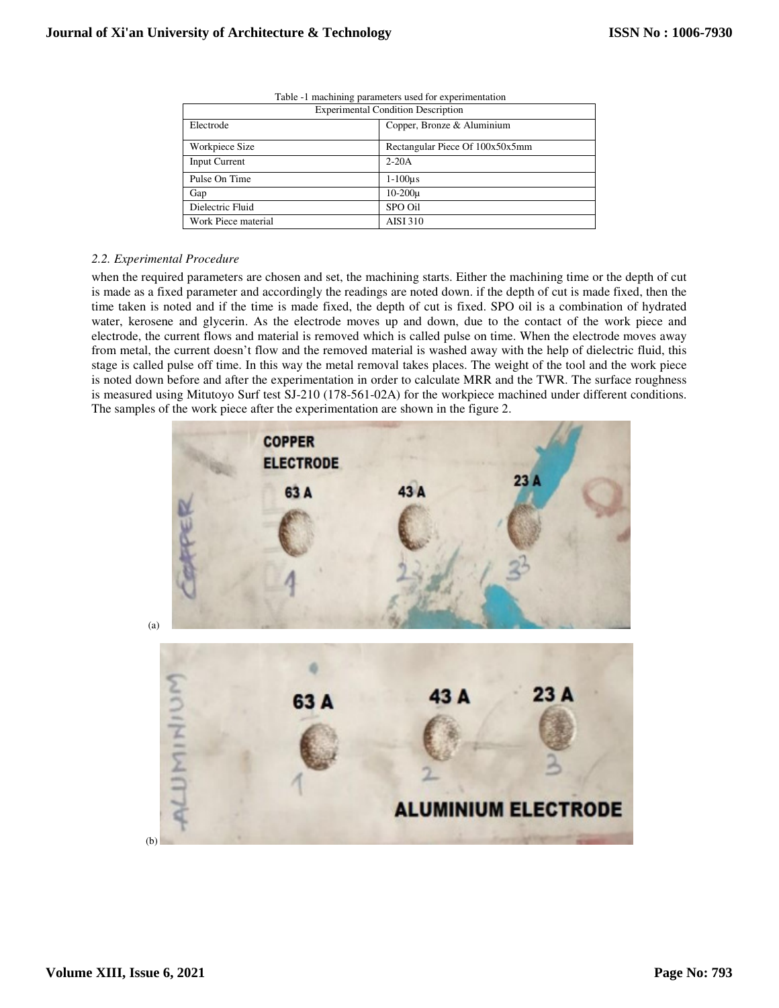| <b>Experimental Condition Description</b> |                                 |  |
|-------------------------------------------|---------------------------------|--|
| Electrode<br>Copper, Bronze & Aluminium   |                                 |  |
| Workpiece Size                            | Rectangular Piece Of 100x50x5mm |  |
| Input Current                             | $2-20A$                         |  |
| Pulse On Time                             | $1-100\mu s$                    |  |
| Gap                                       | $10 - 200\mu$                   |  |
| Dielectric Fluid                          | SPO Oil                         |  |
| Work Piece material                       | <b>AISI 310</b>                 |  |

|  |  |  |  | Table -1 machining parameters used for experimentation |
|--|--|--|--|--------------------------------------------------------|
|  |  |  |  |                                                        |

## *2.2. Experimental Procedure*

when the required parameters are chosen and set, the machining starts. Either the machining time or the depth of cut is made as a fixed parameter and accordingly the readings are noted down. if the depth of cut is made fixed, then the time taken is noted and if the time is made fixed, the depth of cut is fixed. SPO oil is a combination of hydrated water, kerosene and glycerin. As the electrode moves up and down, due to the contact of the work piece and electrode, the current flows and material is removed which is called pulse on time. When the electrode moves away from metal, the current doesn't flow and the removed material is washed away with the help of dielectric fluid, this stage is called pulse off time. In this way the metal removal takes places. The weight of the tool and the work piece is noted down before and after the experimentation in order to calculate MRR and the TWR. The surface roughness is measured using Mitutoyo Surf test SJ-210 (178-561-02A) for the workpiece machined under different conditions. The samples of the work piece after the experimentation are shown in the figure 2.

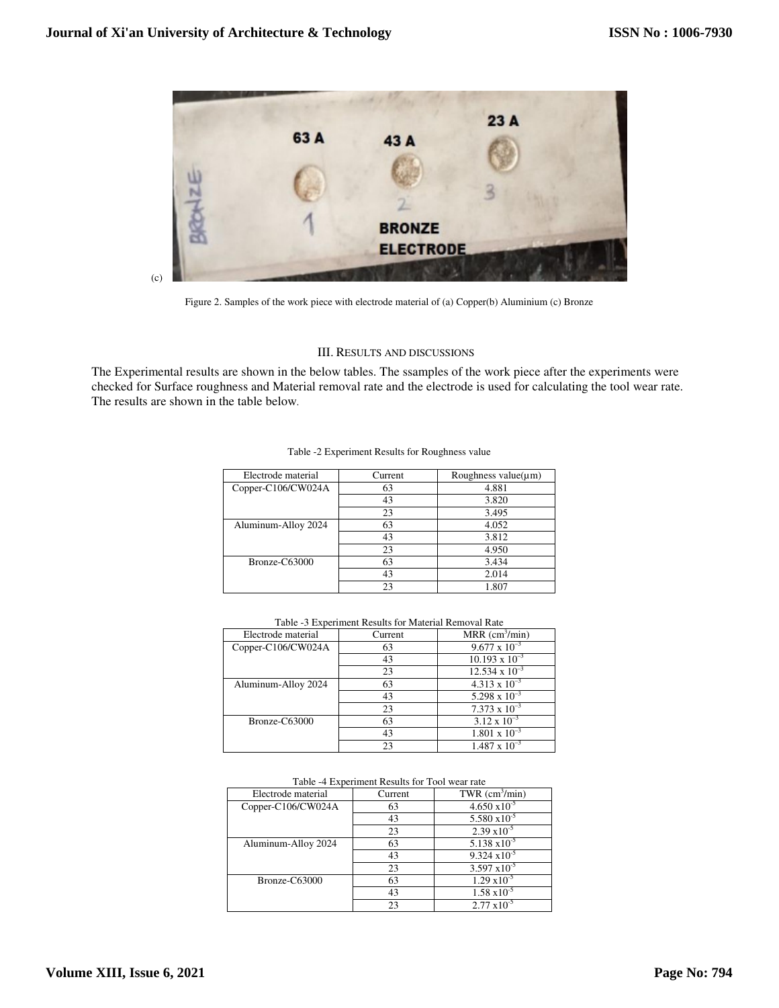

Figure 2. Samples of the work piece with electrode material of (a) Copper(b) Aluminium (c) Bronze

## III. RESULTS AND DISCUSSIONS

The Experimental results are shown in the below tables. The ssamples of the work piece after the experiments were checked for Surface roughness and Material removal rate and the electrode is used for calculating the tool wear rate. The results are shown in the table below.

| Electrode material  | Current | Roughness value( $\mu$ m) |
|---------------------|---------|---------------------------|
| Copper-C106/CW024A  | 63      | 4.881                     |
|                     | 43      | 3.820                     |
|                     | 23      | 3.495                     |
| Aluminum-Alloy 2024 | 63      | 4.052                     |
|                     | 43      | 3.812                     |
|                     | 23      | 4.950                     |
| Bronze-C63000       | 63      | 3.434                     |
|                     | 43      | 2.014                     |
|                     | 23      | 1.807                     |

Table -2 Experiment Results for Roughness value

| Electrode material  | Current | $MRR$ (cm <sup>3</sup> /min) |
|---------------------|---------|------------------------------|
| Copper-C106/CW024A  | 63      | $9.677 \times 10^{-3}$       |
|                     | 43      | $10.193 \times 10^{-3}$      |
|                     | 23      | $12.534 \times 10^{-3}$      |
| Aluminum-Alloy 2024 | 63      | $4.313 \times 10^{-3}$       |
|                     | 43      | 5.298 x $10^{-3}$            |
|                     | 23      | $7.373 \times 10^{-3}$       |
| Bronze-C63000       | 63      | $3.12 \times 10^{-3}$        |
|                     | 43      | $1.801 \times 10^{-3}$       |
|                     | 23      | $1.487 \times 10^{-3}$       |

Table -3 Experiment Results for Material Removal Rate

| Table -4 Experiment Results for Tool wear rate |  |  |  |
|------------------------------------------------|--|--|--|
|------------------------------------------------|--|--|--|

| Electrode material  | Current | TWR $(cm^3/min)$       |
|---------------------|---------|------------------------|
| Copper-C106/CW024A  | 63      | $4.650 \times 10^{-5}$ |
|                     | 43      | $5.580 \times 10^{-5}$ |
|                     | 23      | $2.39 \times 10^{-5}$  |
| Aluminum-Alloy 2024 | 63      | $5.138 \times 10^{-5}$ |
|                     | 43      | $9.324 \times 10^{-5}$ |
|                     | 23      | $3.597 \times 10^{-5}$ |
| Bronze-C63000       | 63      | $1.29 \times 10^{-5}$  |
|                     | 43      | $1.58 \times 10^{-5}$  |
|                     | 23      | $2.77 \times 10^{-5}$  |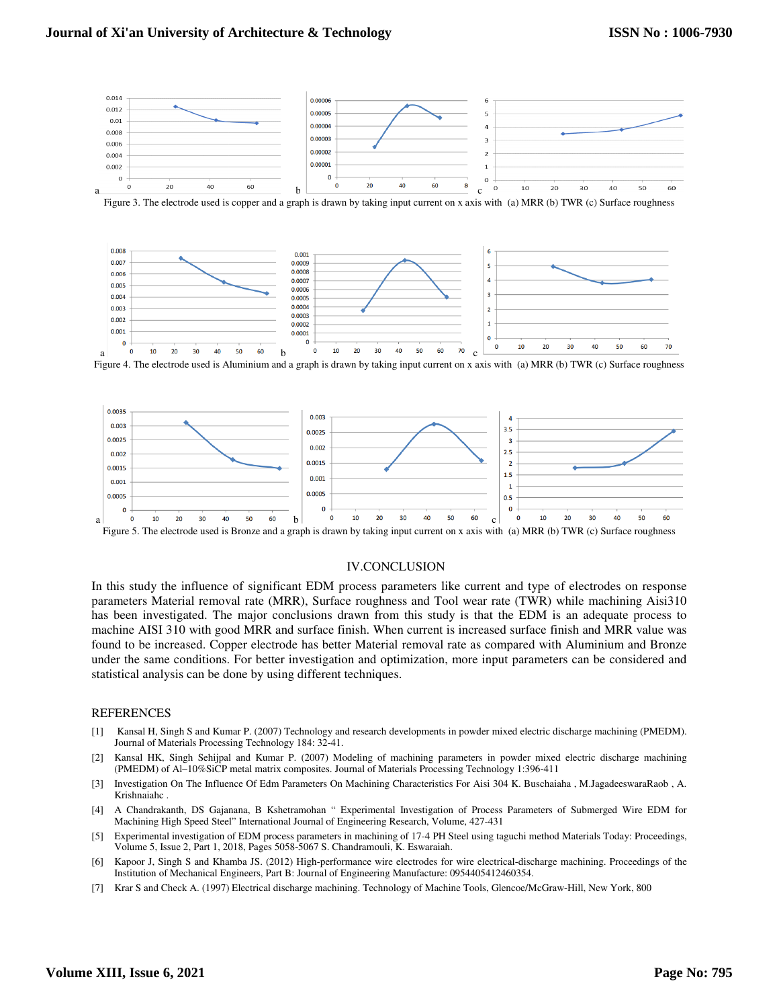

Figure 3. The electrode used is copper and a graph is drawn by taking input current on x axis with (a) MRR (b) TWR (c) Surface roughness



Figure 4. The electrode used is Aluminium and a graph is drawn by taking input current on x axis with (a) MRR (b) TWR (c) Surface roughness



### IV.CONCLUSION

In this study the influence of significant EDM process parameters like current and type of electrodes on response parameters Material removal rate (MRR), Surface roughness and Tool wear rate (TWR) while machining Aisi310 has been investigated. The major conclusions drawn from this study is that the EDM is an adequate process to machine AISI 310 with good MRR and surface finish. When current is increased surface finish and MRR value was found to be increased. Copper electrode has better Material removal rate as compared with Aluminium and Bronze under the same conditions. For better investigation and optimization, more input parameters can be considered and statistical analysis can be done by using different techniques.

#### REFERENCES

- [1] Kansal H, Singh S and Kumar P. (2007) Technology and research developments in powder mixed electric discharge machining (PMEDM). Journal of Materials Processing Technology 184: 32-41.
- [2] Kansal HK, Singh Sehijpal and Kumar P. (2007) Modeling of machining parameters in powder mixed electric discharge machining (PMEDM) of Al–10%SiCP metal matrix composites. Journal of Materials Processing Technology 1:396-411
- [3] Investigation On The Influence Of Edm Parameters On Machining Characteristics For Aisi 304 K. Buschaiaha , M.JagadeeswaraRaob , A. Krishnaiahc .
- [4] A Chandrakanth, DS Gajanana, B Kshetramohan " Experimental Investigation of Process Parameters of Submerged Wire EDM for Machining High Speed Steel" International Journal of Engineering Research, Volume, 427-431
- [5] Experimental investigation of EDM process parameters in machining of 17-4 PH Steel using taguchi method Materials Today: Proceedings, Volume 5, Issue 2, Part 1, 2018, Pages 5058-5067 S. Chandramouli, K. Eswaraiah.
- [6] Kapoor J, Singh S and Khamba JS. (2012) High-performance wire electrodes for wire electrical-discharge machining. Proceedings of the Institution of Mechanical Engineers, Part B: Journal of Engineering Manufacture: 0954405412460354.
- [7] Krar S and Check A. (1997) Electrical discharge machining. Technology of Machine Tools, Glencoe/McGraw-Hill, New York, 800